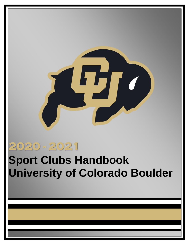

# **2020 - 2021**

# **Sport Clubs Handbook University of Colorado Boulder**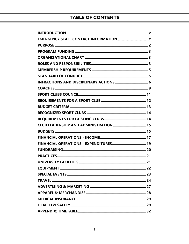# **TABLE OF CONTENTS**

| <b>INFRACTIONS AND DISCIPLINARY ACTIONS  6</b> |
|------------------------------------------------|
|                                                |
|                                                |
|                                                |
|                                                |
|                                                |
|                                                |
| CLUB LEADERSHIP AND ADMINISTRATION 15          |
|                                                |
|                                                |
| FINANCIAL OPERATIONS - EXPENDITURES 19         |
|                                                |
|                                                |
|                                                |
|                                                |
|                                                |
|                                                |
|                                                |
|                                                |
|                                                |
|                                                |
|                                                |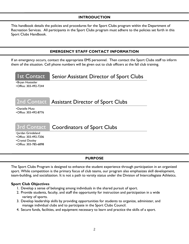# **INTRODUCTION**

<span id="page-2-0"></span>This handbook details the policies and procedures for the Sport Clubs program within the Department of Recreation Services. All participants in the Sport Clubs program must adhere to the policies set forth in this Sport Clubs Handbook.

#### **EMERGENCY STAFF CONTACT INFORMATION**

<span id="page-2-1"></span>If an emergency occurs, contact the appropriate EMS personnel. Then contact the Sport Clubs staff to inform them of the situation. Cell phone numbers will be given out to club officers at the fall club training.



#### **PURPOSE**

<span id="page-2-2"></span>The Sport Clubs Program is designed to enhance the student experience through participation in an organized sport. While competition is the primary focus of club teams, our program also emphasizes skill development, team-building, and socialization. It is not a path to varsity status under the Division of Intercollegiate Athletics.

#### **Sport Club Objectives**

- 1. Develop a sense of belonging among individuals in the shared pursuit of sport.
- 2. Provide students, faculty, and staff the opportunity for instruction and participation in a wide variety of sports.
- 3. Develop leadership skills by providing opportunities for students to organize, administer, and manage individual clubs and to participate in the Sport Clubs Council.
- 4. Secure funds, facilities, and equipment necessary to learn and practice the skills of a sport.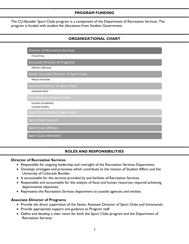#### <span id="page-3-0"></span>**PROGRAM FUNDING**

<span id="page-3-1"></span>The CU-Boulder Sport Clubs program is a component of the Department of Recreation Services. The program is funded with student fee allocations from Student Government.

# **ORGANIZATIONAL CHART**

Director of Recreation Services

#### •Tony Price

Associate Director of Programs

•Nicole LaRocque

Senior Assistant Director of Sport Clubs

•Bryan Hostetler

Assistant Director of Sport Clubs

•Danielle Mutz

•Jordan Grindeland •Crystal Dooley

Sport Clubs Council

Sport Clubs Officers

Sport Clubs Members

#### **ROLES AND RESPONSIBILITIES**

#### <span id="page-3-2"></span>**Director of Recreation Services**

- Responsible for ongoing leadership and oversight of the Recreation Services Department.
- Develops strategies and processes which contribute to the mission of Student Affairs and the University of Colorado Boulder.
- Is accountable for the services provided by and facilities of Recreation Services.
- Responsible and accountable for the analysis of fiscal and human resources required achieving departmental objectives.
- Represents the Recreation Services department to outside agencies and entities.

#### **Associate Director of Programs**

- Provide the direct supervision of the Senior Assistant Director of Sport Clubs and Intramurals.
- Provide appropriate support and guidance to Program staff.
- Define and develop a clear vision for both the Sport Clubs program and the Department of Recreation Services.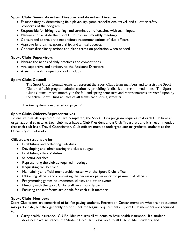## **Sport Clubs Senior Assistant Director and Assistant Director**

- Ensure safety by determining field playability, game cancellations, travel, and all other safety concerns of the program.
- Responsible for hiring, training, and termination of coaches with team input.
- Manage and facilitate the Sport Clubs Council monthly meetings.
- Consult and approve the expenditure recommendations of club officers.
- Approve fundraising, sponsorship, and annual budgets.
- Conduct disciplinary actions and place teams on probation when needed.

#### **Sport Clubs Supervisors**

- Manage the needs of daily practices and competitions.
- Are supportive and advisory to the Assistant Directors.
- Assist in the daily operations of all clubs.

# **Sport Clubs Council**

The Sport Clubs Council exists to represent the Sport Clubs team members and to assist the Sport Clubs staff with program administration by providing feedback and recommendations. The Sport Clubs Council meets monthly in the fall and spring semesters and representatives are voted upon by the active Sport Clubs athletes of all teams each spring semester.

The tier system is explained on page 17.

## **Sport Clubs Officers/Representatives**

To ensure that all required duties are completed, the Sport Clubs program requires that each Club have an organizational structure. Each club must have a Club President and a Club Treasurer, and it is recommended that each club has a Travel Coordinator. Club officers must be undergraduate or graduate students at the University of Colorado.

Officers are responsible for:

- Establishing and collecting club dues
- Developing and administering the club's budget
- Establishing officers' duties
- Selecting coaches
- Representing the club at required meetings
- Requesting facility space
- Maintaining an official membership roster with the Sport Clubs office
- Obtaining officials and completing the necessary paperwork for payment of officials
- Programming games, tournaments, clinics, and other events
- Meeting with the Sport Clubs Staff on a monthly basis
- Ensuring consent forms are on file for each club member

#### **Sport Clubs Members**

Sport Club teams are comprised of full fee-paying students. Recreation Center members who are not students may participate, but they generally do not meet the league requirements. Sport Club members are required to:

• Carry health insurance. CU-Boulder requires all students to have health insurance. If a student does not have insurance, the Student Gold Plan is available to all CU-Boulder students, and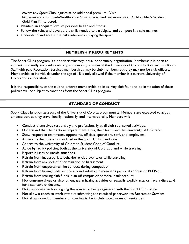covers any Sport Club injuries at no additional premium. Visit <http://www.colorado.edu/healthcenter/insurance> to find out more about CU-Boulder's Student Gold Plan if interested.

- Maintain an adequate level of personal health and fitness.
- Follow the rules and develop the skills needed to participate and compete in a safe manner.
- Understand and accept the risks inherent in playing the sport.

# **MEMBERSHIP REQUIREMENTS**

<span id="page-5-0"></span>The Sport Clubs program is a nondiscriminatory, equal opportunity organization. Membership is open to students currently enrolled as undergraduates or graduates at the University of Colorado Boulder. Faculty and Staff with paid Recreation Services memberships may be club members, but they may not be club officers. Membership to individuals under the age of 18 is only allowed if the member is a current University of Colorado Boulder student.

It is the responsibility of the club to enforce membership policies. Any club found to be in violation of these policies will be subject to sanctions from the Sport Clubs program.

# **STANDARD OF CONDUCT**

<span id="page-5-1"></span>Sport Clubs function as a part of the University of Colorado community. Members are expected to act as ambassadors as they travel locally, nationally, and internationally. Members will:

- Conduct themselves responsibly and professionally at all club-sponsored activities.
- Understand that their actions impact themselves, their team, and the University of Colorado.
- Show respect to teammates, opponents, officials, spectators, staff, and employees.
- Adhere to the policies as outlined in the Sport Clubs handbook.
- Adhere to the University of Colorado Student Code of Conduct.
- Abide by facility policies, both at the University of Colorado and while traveling.
- Report injuries or unsafe situations.
- Refrain from inappropriate behavior at club events or while traveling.
- Refrain from any sort of discrimination or harassment.
- Refrain from unsportsmanlike conduct during competition.
- Refrain from having funds sent to any individual club member's personal address or PO Box.
- Refrain from storing club funds in an off-campus or personal bank account.
- Not consume drugs or alcohol, engage in hazing activities or sexually explicit acts, or have a disregard for a standard of decency.
- Not participate without signing the waiver or being registered with the Sport Clubs office.
- Not allow a coach to work without submitting the required paperwork to Recreation Services.
- Not allow non-club members or coaches to be in club hotel rooms or rental cars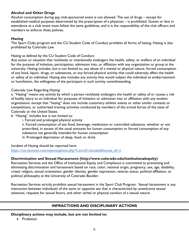# **Alcohol and Other Drugs**

Alcohol consumption during any club-sponsored event is not allowed. The use of drugs – except for established medical purposes determined by the prescription of a physician – is prohibited. Guests or fans in attendance at a club event must follow the same guidelines, and it is the responsibility of the club officers and members to enforce these policies.

## **Hazing**

The Sport Clubs program and the CU Student Code of Conduct prohibits all forms of hazing. Hazing is also prohibited by Colorado Law.

Hazing as defined by the CU Student Code of Conduct:

Any action or situation that recklessly or intentionally endangers the health, safety, or welfare of an individual for the purpose of initiation, participation, admission into, or affiliation with any organization or group at the university. Hazing includes, but is not limited to, any abuse of a mental or physical nature, forced consumption of any food, liquor, drugs, or substances, or any forced physical activity that could adversely affect the health or safety of an individual. Hazing also includes any activity that would subject the individual to embarrassment or humiliation, the willingness of the participant in such activity notwithstanding.

#### Colorado Law Regarding Hazing:

a. "Hazing" means any activity by which a person recklessly endangers the health or safety of or causes a risk of bodily injury to an individual for purposes of initiation or admission into or affiliation with any student organization; except that "hazing" does not include customary athletic events or other similar contests or competitions, or authorized training activities conducted by members of the armed forces of the state of Colorado or the United States.

b. "Hazing" includes but is not limited to:

i. Forced and prolonged physical activity

ii. Forced consumption of any food, beverage, medication or controlled substance, whether or not prescribed, in excess of the usual amounts for human consumption or forced consumption of any substance not generally intended for human consumption iii. Prolonged deprivation of sleep, food, or drink

Incident of Hazing should be reported here: [https://cm.maxient.com/reportingform.php?UnivofColorado&layout\\_id=2](https://cm.maxient.com/reportingform.php?UnivofColorado&layout_id=2)

#### **Discrimination and Sexual Harassment (http://www.colorado.edu/institutionalequity)**

Recreation Services and the Office of Institutional Equity and Compliance is committed to preventing and eliminating discrimination and harassment based on race, color, national origin, pregnancy, sex, age, disability, creed, religion, sexual orientation, gender identity, gender expression, veteran status, political affiliation, or political philosophy at the University of Colorado Boulder.

Recreation Services strictly prohibits sexual harassment in the Sport Club Program. Sexual harassment is any interaction between individuals of the same or opposite sex that is characterized by unwelcome sexual advances, requests for sexual favors, and other verbal or physical conduct of a sexual nature.

#### **INFRACTIONS AND DISCIPLINARY ACTIONS**

<span id="page-6-0"></span>**Disciplinary actions may include, but are not limited to:**

• Probation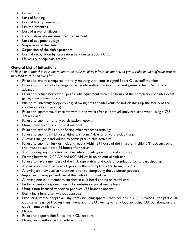- Frozen funds
- Loss of funding
- Loss of facility reservations
- Limited practices
- Loss of travel privileges
- Cancellation of games/matches/tournaments
- Loss of equipment usage
- Suspension of the club
- Suspension of the club's practices
- Loss of recognition by Recreation Services as a Sport Club
- University disciplinary actions

## **General List of Infractions**

*\*\*Please note that this list is not meant to be inclusive of all infractions but only to give a clubs an idea of what actions may lead to club sanctions.\*\**

- Failure to attend a required monthly meeting with your assigned Sport Clubs staff member
- Failure to notify staff of changes in schedule and/or practice times and games at least 24 hours in advance
- Failure to return borrowed Sport Clubs equipment within 72 hours of the completion of club's event, game, and/or tournament
- Misuse of university property (e.g. allowing pets at club events or not cleaning up the facility at the conclusion of club events)
- Failure to submit travel receipts within one week after club travel (only required when using a CU Travel Card)
- Failure to submit monthly participation report
- Using unapproved promotional materials
- Failure to attend Fall and/or Spring officer/coaches trainings
- Failure to submit a trip roster/itinerary form 7 days prior to the club's trip
- Allowing ineligible individuals to participate in club activities
- Failure to submit injury or incident report within 24 hours of the injury or incident (if it occurs on a trip, must be submitted 24 hours after return)
- Transporting any non-club member while traveling on an official club trip
- Driving between 12:00 AM and 6:00 AM while on an official club trip
- Failure to have a members of the club sign waiver and code of conduct prior to participating.
- Allowing an individual to work prior to them completing the hiring process
- Allowing an individual to volunteer prior to completing the volunteer process
- Improper or unapproved use of the club's CU travel card
- Allowing non-club members/coaches in club hotel rooms or rental cars
- Endorsement of a sponsor on clubs website or social media feeds
- Using a non-licensed vendor to produce CU-branded apparel
- Beginning a fundraiser without approval
- Producing, without approval, any item (including apparel) that includes "CU", "Buffaloes", the particular club name (e.g. Ice Hockey), any likeness of the University, or any logo including CU, Buffaloes, or the club's name or nickname
- Hazing
- Failure to deposit club funds into a CU account
- Having an unauthorized outside account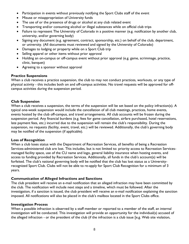- Participation in events without previously notifying the Sport Clubs staff of the event
- Misuse or misappropriation of University funds
- The use of or the presence of drugs or alcohol at any club related event
- Transporting and/or consuming alcohol or illegal substances while on official club trips
- Failure to represent The University of Colorado in a positive manner (e.g. notification by another club, university, and/or governing body)
- Signing any document (e.g. agreement, contract, sponsorship, etc.) on behalf of the club, department, or university. (All documents must reviewed and signed by the University of Colorado)
- Damages to lodging or property while on a Sport Club trip
- Selling apparel or other items without prior approval
- Holding an on-campus or off-campus event without prior approval (e.g. game, scrimmage, practice, clinic, banquet)
- Agreeing to a sponsor without approval

#### **Practice Suspensions**

When a club receives a practice suspension, the club to may not conduct practices, workouts, or any type of physical activity - this includes both on and off-campus activities. No travel requests will be approved for offcampus activities during the suspension period.

#### **Club Suspension**

When a club receives a suspension, the terms of the suspension will be set based on the policy infraction(s). A typical one-week suspension would include the cancellation of all club meetings, practices, home events, events hosted by the club off-campus, and travel arrangements. All club accounts will be frozen during the suspension period. Any financial burdens (e.g. fees for game cancellation, airfare purchased, hotel reservations, late payment fees, etc.) incurred due to the suspension will remain the club's responsibility. During the suspension, no requests (facility, event, travel, etc.) will be reviewed. Additionally, the club's governing body may be notified of the suspension (if applicable).

#### **Loss of Recognition**

When a club loses status with the Department of Recreation Services, all benefits of being a Recreation Services-administered club are lost. This includes, but is not limited to: priority access to Recreation Servicesmanaged facility space, use of the CU name and logo, general liability insurance when hosting events, and access to funding provided by Recreation Services. Additionally, all funds in the club's account(s) will be forfeited. The club's national governing body will be notified that the club has lost status as a Universityrecognized Sport Club. Clubs will not be able to re-apply for Sport Club Recognition for a minimum of 3 years.

#### **Communication of Alleged Infractions and Sanctions**

The club president will receive an e-mail notification that an alleged infraction may have been committed by the club. The notification will include next steps and a timeline, which must be followed. After the investigation, if a sanction is issued, the club president will receive an e-mail notification explaining the sanction imposed. All notifications will also be placed in the club's mailbox located in the Sport Clubs office.

#### **Investigation Process**

When a possible infraction is observed by a staff member or reported to a member of the staff, an internal investigation will be conducted. This investigation will provide an opportunity for the individual(s) accused of the alleged infraction - or the president of the club (if the infraction is a club issue [e.g. Web site violation,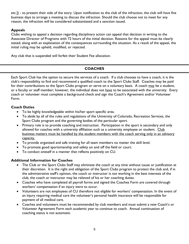etc.]) - to present their side of the story. Upon notification to the club of the infraction, the club will have five business days to arrange a meeting to discuss the infraction. Should the club choose not to meet for any reason, the infraction will be considered substantiated and a sanction issued.

# **Appeals**

Clubs wishing to appeal a decision regarding disciplinary action can appeal that decision in writing to the Associate Director of Programs with 72 hours of the initial decision. Reasons for the appeal must be clearly stated, along with an explanation of the consequences surrounding the situation. As a result of the appeal, the initial ruling may be upheld, modified, or rejected.

Any club that is suspended will forfeit their Student Fee allocation.

# **COACHES**

<span id="page-9-0"></span>Each Sport Club has the option to secure the services of a coach. If a club chooses to have a coach, it is the club's responsibility to find and recommend a qualified coach to the Sport Clubs Staff. Coaches may be paid for their contributions to the Sport Clubs program or serve on a voluntary basis. A coach may be a student, or a faculty or staff member; however, the individual does not have to be associated with the university.Every coach or volunteer must complete a background check and sign the Coach's Agreement and/or Volunteer Form.

## **Coach Duties**

- To be highly knowledgeable within his/her sport specific area.
- To abide by all of the rules and regulations of the University of Colorado, Recreation Services, the Sport Clubs program and the governing bodies of the particular sport.
- Primary role is to provide coaching and instruction. Participation in the sport is secondary and only allowed for coaches with a university affiliation such as a university employee or student. Club business matters must be handled by the student members with the coach serving only in an advisory capacity.
- To provide organized and safe training for all team members no matter the skill level.
- To promote good sportsmanship and safety on and off the field or court.
- To conduct oneself in a manner that reflects positively on CU.

# **Additional Information for Coaches**

- The Club or the Sport Clubs Staff may eliminate the coach at any time without cause or justification at their discretion. It is the right and obligation of the Sport Clubs program to protect the club and, if in the administrative staff's opinion, the coach or instructor is not working in the best interests of the club, the coach or instructor may be relieved of his or her coaching duties.
- Coaches who have completed all payroll forms and signed the Coaches Form are covered through workers' compensation if an injury were to occur.
- Volunteers are not employees of CU therefore not eligible for workers' compensation. In the event of an injury requiring medical care the volunteer's personal health insurance will be responsible for payment of all medical care.
- Coaches and volunteers must be recommended by club members and must submit a new Coach's or Volunteer Agreement Form each academic year to continue to coach. Annual continuation of coaching status is not automatic.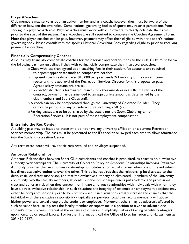## **Player/Coaches**

Club members may serve as both an active member and as a coach; however they must be aware of the difference between the two roles. Some national governing bodies of sports may restrict participants from serving in a player-coach role. Player-coaches must work with club officers to clearly delineate their roles prior to the start of the season. Player-coaches are still required to complete the Coaches Agreement Form. Note that player-coaches can be paid, however, payment may affect their eligibility within the sport's national governing body. Please consult with the sport's National Governing Body regarding eligibility prior to receiving payment for coaching.

#### **Financially Compensating Coaches**

All clubs may financially compensate coaches for their service and contributions to the club. Clubs must follow the following payment guidelines if they wish to financially compensate their instructors/coaches:

- o Clubs with less than agreed upon coaching fees in their student fee accounts are required to deposit appropriate funds to compensate coaches.
- $\circ$  Proposed coach's salaries over \$10,000 per year needs 2/3 majority of the current team roster with the approval of the Recreation Services Director for this proposal to pass. Agreed salary amounts are pre-tax.
- $\circ$  If a coach/instructor is terminated, resigns, or otherwise does not fulfill the terms of the contract, payment may be amended to an appropriate amount as determined by the club members and Sport Clubs staff.
- o A coach can only be compensated through the University of Colorado Boulder. They cannot be paid out of any outside account including a 501(c)3.
- oParking passes are to be purchased by the coach; not the Sport Club program or Recreation Services. It is not part of their employment compensation.

#### **Entry into the Rec Center**

A building pass may be issued to those who do not have any university affiliation or a current Recreation Services membership. The pass must be presented to the ID checker or swiped each time to allow admittance into the Student Recreation Center.

Any terminated coach will have their pass revoked and privileges suspended.

#### **Amorous Relationships**

Amorous Relationships between Sport Club participants and coaches is prohibited, as coaches hold evaluative authority over participants. The University of Colorado Policy on Amorous Relationships Involving Evaluative Authority provides that an amorous relationship constitutes a conflict of interest when one of the individuals has direct evaluative authority over the other. This policy requires that the relationship be disclosed to the dean, chair, or direct supervisor, and that the evaluative authority be eliminated. Members of the University community, whether faculty members, students, supervisors, or supervisees put academic and professional trust and ethics at risk when they engage in or initiate amorous relationships with individuals with whom they have a direct evaluative relationship. In such situations the integrity of academic or employment decisions may either be compromised or appear to be compromised. Such situations greatly increase the chances that the individual with the evaluative responsibility - typically a supervisor, coach, or faculty member - will abuse his/her power and sexually exploit the student or employee. Moreover, others may be adversely affected by such behavior because it places the faculty member or supervisor in a position to favor or advance one student's or employee's interest at the expense of others and implicitly makes obtaining benefits contingent upon romantic or sexual favors. For further information, call the Office of Discrimination and Harassment at 303-492-2127.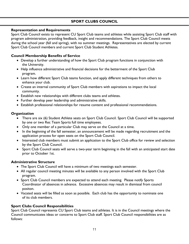# **SPORT CLUBS COUNCIL**

#### <span id="page-11-0"></span>**Representation and Requirements**

Sport Club Council exists to represent CU Sport Club teams and athletes while assisting Sport Club staff with program administration, providing feedback, insight and recommendations. The Sport Club Council meets during the school year (fall and spring), with no summer meetings. Representatives are elected by current Sport Club Council members and current Sport Club Student Athletes.

# **Council Membership Benefits of Service**

- Develop a further understanding of how the Sport Club program functions in conjunction with the University.
- Help influence administrative and financial decisions for the betterment of the Sport Club program.
- Learn how different Sport Club teams function, and apply different techniques from others to enhance your club.
- Create an internal community of Sport Club members with aspirations to impact the local community.
- Establish new relationships with different clubs teams and athletes.
- Further develop peer leadership and administrative skills.
- Establish professional relationships for resume content and professional recommendations.

## **Organization**

- There are six (6) Student Athlete seats on Sport Club Council. Sport Club Council will be supported by one or two Rec Team Sports full time employees.
- Only one member of a particular Club may serve on the Council at a time.
- In the beginning of the fall semester, an announcement will be made regarding recruitment and the application process for open seats on the Sport Club Council.
- Interested club members must submit an application to the Sport Club office for review and selection by the Sport Club Council.
- Sport Club Council seats will serve a two-year term beginning in the fall with an anticipated start date prior to October 1st.

# **Administrative Structure**

- The Sport Club Council will have a minimum of two meetings each semester.
- All regular council meeting minutes will be available to any person involved with the Sport Club program.
- Sport Club Council members are expected to attend each meeting. Please notify Sports Coordinator of absences in advance. Excessive absences may result in dismissal from council positon.
- Vacated seats will be filled as soon as possible. Each club has the opportunity to nominate one of its club members.

# **Sport Clubs Council Responsibilities**

Sport Club Council represents CU Sport Club teams and athletes. It is in the Council meetings where the Council communicates ideas or concerns to Sport Club staff. Sport Club Council responsibilities are as follows: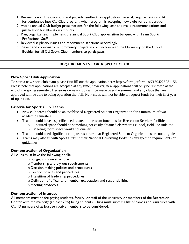- 1. Review new club applications and provide feedback on application material, requirements and fit for admittance into CU Club program, when program is accepting new clubs for consideration
- 2. Attend annual Club budget presentations for the following year and make recommendations and justification for allocation amounts.
- 3. Plan, organize, and implement the annual Sport Club appreciation banquet with Team Sports Professional Staff.
- 4. Review disciplinary issues and recommend sanctions accordingly.
- 5. Select and coordinator a community project in conjunction with the University or the City of Boulder for all CU Sport Club members to participate.

# **REQUIREMENTS FOR A SPORT CLUB**

# <span id="page-12-0"></span>**New Sport Club Application**

To start a new sport club team please first fill out the application here: https://form.jotform.us/71594225931156. Please note that applications are accepted at any time, however, new applications will only be reviewed at the end of the spring semester. Decisions on new clubs will be made over the summer and any clubs that are approved will be able to being operation that fall. New clubs will not be able to request funds for their first year of operation.

# **Criteria for Sport Club Teams**

- New club teams should be an established Registered Student Organization for a minimum of two academic semesters.
	- Teams should have a specific need related to the team functions for Recreation Services facilities
		- o Required space should be something not easily obtained elsewhere i.e. pool, field, ice rink, etc.
		- o Meeting room space would not qualify
- Teams should need significant campus resources that Registered Student Organizations are not eligible
- Teams may also fit with Sport Clubs if their National Governing Body has any specific requirements or guidelines

# **Demonstration of Organization**

All clubs must have the following on file:

- oBudget and due structure
- oMembership and try-out requirements
- oDecision making policies and procedures
- oElection policies and procedures
- oTransition of leadership procedures
- oDefinition of officer and member expectation and responsibilities
- oMeeting protocols

#### **Demonstration of Interest**

All members must be fee-paying students, faculty, or staff of the university or members of the Recreation Center with the majority (at least 75%) being students. Clubs must submit a list of names and signatures with CU ID numbers of at least ten active members to be considered.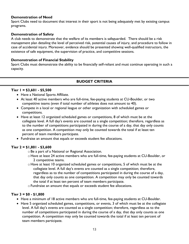#### **Demonstration of Need**

Sport Clubs need to document that interest in their sport is not being adequately met by existing campus programs.

#### **Demonstration of Safety**

A club needs to demonstrate that the welfare of its members is safeguarded. There should be a risk management plan detailing the level of perceived risk, potential causes of injury, and procedure to follow in case of accidental injury. Moreover, evidence should be presented showing well-qualified instructors, the existence of safe equipment, the supervision of practice, and competitive sessions.

#### **Demonstration of Financial Stability**

Sport Clubs must demonstrate the ability to be financially self-reliant and must continue operating in such a capacity.

# **BUDGET CRITERIA**

#### <span id="page-13-0"></span>**Tier 1 = \$3,601 - \$5,500**

- Have a National Sports Affiliate.
- At least 40 active members who are full-time, fee-paying students at CU-Boulder, or two competitive teams (even if total number of athletes does not amount to 40).
- Compete in a local or regional league or other organization with scheduled games or competitions.
- Have at least 12 organized scheduled games or competitions, 8 of which must be at the collegiate level. A full day's events are counted as a single competition; therefore, regardless as to the number of competitions participated in during the course of a day, that day only counts as one competition. A competition may only be counted towards the total if at least ten percent of team members participate.
- Fundraise an amount that equals or exceeds student fee allocations.

#### **Tier 2 = \$1,801 - \$3,600**

- oBe a part of a National or Regional Association.
- o Have at least 24 active members who are full-time, fee-paying students at CU-Boulder, or 2 competitive teams.
- o Have at least 10 organized scheduled games or competitions, 5 of which must be at the collegiate level. A full day's events are counted as a single competition; therefore, regardless as to the number of competitions participated in during the course of a day, that day only counts as one competition. A competition may only be counted towards the total if at least ten percent of team members participate.

oFundraise an amount that equals or exceeds student fee allocations.

#### **Tier 3 = \$0 - \$1,800**

- Have a minimum of 18 active members who are full-time, fee-paying students at CU-Boulder.
- Have 5 organized scheduled games, competitions, or events, 3 of which must be at the collegiate level. A full day's events are counted as a single competition; therefore, regardless as to the number of competitions participated in during the course of a day, that day only counts as one competition. A competition may only be counted towards the total if at least ten percent of team members participate.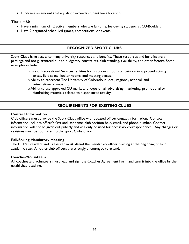Fundraise an amount that equals or exceeds student fee allocations.

#### **Tier 4 = \$0**

- Have a minimum of 12 active members who are full-time, fee-paying students at CU-Boulder.
- Have 2 organized scheduled games, competitions, or events.

## **RECOGNIZED SPORT CLUBS**

<span id="page-14-0"></span>Sport Clubs have access to many university resources and benefits. These resources and benefits are a privilege and not guaranteed due to budgetary constraints, club standing, availability, and other factors. Some examples include:

- $\circ$  Use of Recreational Services facilities for practices and/or competition in approved activity areas, field space, locker rooms, and meeting places.
- oAbility to represent The University of Colorado in local, regional, national, and international competitions.
- oAbility to use approved CU marks and logos on all advertising, marketing, promotional or fundraising materials related to a sponsored activity.

# **REQUIREMENTS FOR EXISTING CLUBS**

#### <span id="page-14-1"></span>**Contact Information**

Club officers must provide the Sport Clubs office with updated officer contact information. Contact information includes officer's first and last name, club position held, email, and phone number. Contact information will not be given out publicly and will only be used for necessary correspondence. Any changes or revisions must be submitted to the Sport Clubs office.

#### **Fall/Spring Mandatory Meeting**

The Club's President and Treasurer must attend the mandatory officer training at the beginning of each academic year. All other club officers are strongly encouraged to attend.

#### **Coaches/Volunteers**

All coaches and volunteers must read and sign the Coaches Agreement Form and turn it into the office by the established deadline.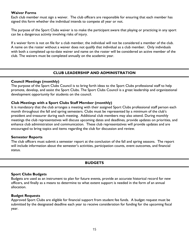#### **Waiver Forms**

Each club member must sign a waiver. The club officers are responsible for ensuring that each member has signed this form whether the individual intends to compete all year or not.

The purpose of the Sport Clubs waiver is to make the participant aware that playing or practicing in any sport can be a dangerous activity involving risks of injury.

If a waiver form is not on file for a club member, the individual will not be considered a member of the club. A name on the roster without a waiver does not qualify that individual as a club member. Only individuals with both a completed up-to-date waiver and name on the roster will be considered an active member of the club. The waivers must be completed annually on the academic year.

## **CLUB LEADERSHIP AND ADMINISTRATION**

#### <span id="page-15-0"></span>**Council Meetings (monthly)**

The purpose of the Sport Clubs Council is to bring forth ideas to the Sport Clubs professional staff to help promote, develop, and assist the Sport Clubs. The Sport Clubs Council is a great leadership and organizational development opportunity for students on the council.

#### **Club Meetings with a Sport Clubs Staff Member (monthly)**

It is mandatory that the club arranges a meeting with their assigned Sport Clubs professional staff person each month throughout the fall and spring semesters. Clubs must be represented by a minimum of the club's president and treasurer during each meeting. Additional club members may also attend. During monthly meetings the club representatives will discuss upcoming dates and deadlines, provide updates on priorities, and enhance club administration and communication. These club representatives will provide updates and are encouraged to bring topics and items regarding the club for discussion and review.

#### **Semester Reports**

The club officers must submit a semester report at the conclusion of the fall and spring seasons. The report will include information about the semester's activities, participation counts, event outcomes, and financial status.

#### **BUDGETS**

#### <span id="page-15-1"></span>**Sport Clubs Budgets**

Budgets are used as an instrument to plan for future events, provide an accurate historical record for new officers, and finally as a means to determine to what extent support is needed in the form of an annual allocation.

#### **Budget Requests**

Approved Sport Clubs are eligible for financial support from student fee funds. A budget request must be submitted by the designated deadline each year to receive consideration for funding for the upcoming fiscal year.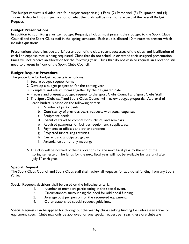The budget request is divided into four major categories: (1) Fees, (2) Personnel, (3) Equipment, and (4) Travel. A detailed list and justification of what the funds will be used for are part of the overall Budget Request.

# **Budget Presentations**

In addition to submitting a written Budget Request, all clubs must present their budget to the Sport Clubs Council and the Sport Clubs staff in the spring semester. Each club is allotted 10 minutes to present which includes questions.

Presentations should include a brief description of the club, recent successes of the clubs, and justification of each line expense that is being requested. Clubs that do not schedule or attend their assigned presentation times will not receive an allocation for the following year. Clubs that do not wish to request an allocation still need to present in front of the Sport Clubs Council.

## **Budget Request Procedure**

The procedure for budget requests is as follows:

- 1. Secure budget request forms
- 2. Develop a budget projection for the coming year
- 3. Complete and return forms together by the designated date.
- 4. Prepare and present a budget request to the Sport Clubs Council and Sport Clubs Staff.
- 5. The Sport Clubs staff and Sport Clubs Council will review budget proposals. Approval of each budget is based on the following criteria.
	- a. Number of participants
	- b. Consistency of previous years' requests with actual expenses
	- c. Equipment needs
	- d. Extent of travel to competitions, clinics, and seminars
	- e. Required payments for facilities, equipment, supplies, etc.
	- f. Payments to officials and other personnel
	- g. Projected fundraising activities
	- h. Current and anticipated growth
	- i. Attendance at monthly meetings
- 6. The club will be notified of their allocations for the next fiscal year by the end of the spring semester. The funds for the next fiscal year will not be available for use until after July  $I^{st}$  each year.

#### **Special Request**

The Sport Clubs Council and Sport Clubs staff shall review all requests for additional funding from any Sport Clubs.

Special Requests decisions shall be based on the following criteria:

- 1. Number of members participating in the special event.
- 2. Circumstances surrounding the need for additional funding.
- 3. Average cost per person for the requested equipment.
- 4. Other established special request guidelines.

Special Requests can be applied for throughout the year by clubs seeking funding for unforeseen travel or equipment costs. Clubs may only be approved for one special request per year; therefore clubs are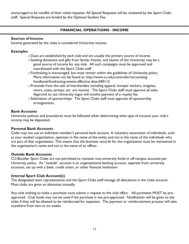encouraged to be mindful of their initial requests. All Special Requests will be reviewed by the Sport Clubs staff. Special Requests are funded by the Optional Student Fee.

# **FINANCIAL OPERATIONS - INCOME**

#### <span id="page-17-0"></span>**Sources of Income**

Income generated by the clubs is considered University income.

#### **Examples**

- oDues are established by each club and are usually the primary source of income.
- oSeeking donations and gifts from family, friends, and alumni of the University may be a good source of income for any club. All such campaigns must be approved and coordinated with the Sport Clubs staff.
- oFundraising is encouraged, but must remain within the guidelines of University policy. More information can be found at: http://www.cu.edu/controller/accountinghandbook/fundraising-events-effective-date-040112
- oProceeds from the sale of merchandise including apparel, bumper stickers, insignias, visors, coats, jerseys, etc. are income. The Sport Clubs staff must approve all sales. Approval to use University logos will involve payment of a royalty fee.
- $\circ$  Solicitation of sponsorships: The Sport Clubs staff must approve all sponsorship arrangements.

#### **Bank Accounts**

University policies and procedures must be followed when determining what type of account your club's income may be deposited.

#### **Personal Bank Accounts**

Clubs may not use an individual member's personal bank account. A voluntary association of individuals, such as your student organization, operates in the name of the entity and not in the name of the individuals who are part of that organization. This means that the business records for the organization must be maintained in the organization's name and not in the name of an officer.

#### **Outside Bank Accounts**

CU-Boulder Sport Clubs are not permitted to maintain non-university funds in off campus accounts per University policy. An "outside" account is an organizational banking account, separate from university accounts, set up with a bank, credit union, or other financial institution.

#### **Internal Sport Club Account(s)**

The designated team representative and the Sport Clubs staff manage all allocations in the clubs account. Most clubs are given an allocation annually.

Any club wishing to make a purchase must submit a request to the club office. All purchases MUST be preapproved. Club funds may not be used if the purchase is not pre-approved. Notification will be given to the clubs if they will be allowed to be reimbursed for expenses. The payment or reimbursement process will take anywhere from two to six weeks.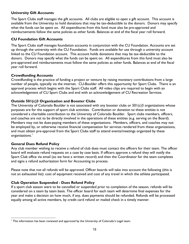## **University Gift Accounts**

The Sport Clubs staff manages the gift accounts. All clubs are eligible to open a gift account. This account is available from the University to hold donations that may be tax-deductible to the donors. Donors may specify what the funds can be spent on. All expenditures from this fund must also be pre-approved and reimbursements follow the same policies as other funds. Balances at end of the fiscal year roll forward.

#### **CU Foundation Gift Accounts**

The Sport Clubs staff manages foundation accounts in conjunction with the CU Foundation. Accounts are set up through the university with the CU Foundation. Funds are available for use through a university account linked to the CU Foundation account. This account holds donations that may be tax-deductible to the donors. Donors may specify what the funds can be spent on. All expenditures from this fund must also be pre-approved and reimbursements must follow the same policies as other funds. Balances at end of the fiscal year roll forward.

## **Crowdfunding Accounts**

Crowdfunding is the practice of funding a project or venture by raising monetary contributions from a large number of people, typically via the internet. CU-Boulder offers this opportunity for Sport Clubs. There is an approval process which begins with the Sport Clubs staff. All video clips are required to begin with an acknowledgement of CU Sport Clubs and end with an acknowledgement of CU Recreation Services.

## **Outside 501(c)3 Organization and Booster Clubs**

The University of Colorado Boulder is not associated with any booster clubs or 501(c)3 organizations whose purposes are for the support of sport club activities. Contribution or donation to these entities is not considered a charitable contribution to the University of Colorado Boulder. Sport clubs members, officers, and coaches are not to be directly involved in the operations of these entities (e.g. serving on the Board). Members may not be dues-paying members of these organizations. Members, officers, and coaches may not be employed by, or otherwise receive financial compensation for services rendered from these organizations, and must obtain pre-approval from the Sport Clubs staff to attend events/meetings organized by these organizations.<sup>1</sup>

#### **General Dues Refund Policy**

Any club member wishing to receive a refund of club dues must contact the officers for their team. The officer board will evaluate refund requests on a case by case basis. If officers approve a refund they will notify the Sport Club office via email (so we have a written record) and then the Coordinator for the team completes and signs a refund authorization form for Accounting to process.

Please note that not all refunds will be approved. Officer boards will take into account the following (this is not an exhausted list): cost of equipment received and cost of any travel in which the athlete participated.

#### **Club Operation Suspended - Dues Refund Policy**

If a sport club season were to be cancelled or suspended prior to completion of the season, refunds will be considered on a team by team basis. The officer board for each team will determine final expenses for the year and make a decision on how much, if any, dues payments should be refunded. Refunds will be processed equally among all active members, by credit card refund or mailed check in a timely manner.

 $\overline{a}$ <sup>1</sup> This information has been reviewed and approved by the University of Colorado's Legal team.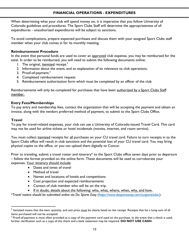# <span id="page-19-0"></span>**FINANCIAL OPERATIONS - EXPENDITURES**

When determining what your club will spend money on, it is imperative that you follow University of Colorado guidelines and procedures. The Sport Clubs Staff will determine the appropriateness of all expenditures - unauthorized expenditures will be subject to sanctions.

To avoid complications, prepare expected purchases and discuss them with your assigned Sport Clubs staff member when your club comes in for its monthly meeting.

#### **Reimbursement Procedure**

In the event that personal funds are used to cover an approved club expense, you may be reimbursed for the total. In order to be reimbursed, you will need to submit the following documents online:

- 1. The original, itemized receipt. $2$
- 2. Information about the event, and an explanation of its relevance to club operations.
- 3. Proof-of-payment.<sup>3</sup>
- 4. Completed reimbursement request
- 5. Reimbursement authorization form which must be completed by an officer of the club

Reimbursements will only be completed for purchases that have been authorized by a Sport Clubs Staff member.

## **Entry Fees/Memberships**

To pay entry and membership fees, contact the organization that will be accepting the payment and obtain an invoice, along with the vendors preferred method of payment, to submit to the Sport Clubs Office.

# **Travel**

To pay for travel-related expenses, your club can use a University of Colorado-issued Travel Card. This card may not be used for airline tickets or hotel incidentals (movies, internet, and room service).

You must collect itemized receipts for all purchases on your CU travel card. Failure to turn receipts in to the Sport Clubs office will result in club sanctions and the potential loss of your CU travel card. You may bring physical copies to the office, or you can upload them digitally to Concur.

Prior to traveling, submit a travel roster and itinerary\* to the Sport Clubs office seven days prior to departure – follow the format provided on the online form. These documents will be used to corroborate your expenses. Your itinerary should include:

- Dates and times of travel
- Method of travel
- Names and locations of hotels and competitions
- Cost projection and expected reimbursements
- Contact of club member who will be on the trip.
- If in doubt, details about the following: who, what, where, when, why, and how.

\**Travel rosters should be submitted online via Do Sports Easy [\(https://www.dosportseasy.com/cusportclubs/\)](https://www.dosportseasy.com/cusportclubs/).* 

 2 Itemized means that the item, quantity, and unit price must be clearly listed on the receipt. Receipts that list a lump sum of all items purchased will not be accepted.

<sup>&</sup>lt;sup>3</sup> Proof-of-payment is most often provided as a copy of the payment card used on the purchase. In the event that a check is used, further clarification such as a copy of the check and a bank statement may be required. **DO NOT USE CASH.**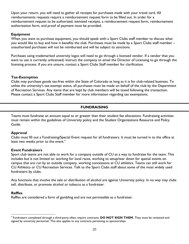Upon your return, you will need to gather all receipts for purchases made with your travel card. All reimbursements requests require a reimbursement request form to be filled out. In order for a reimbursement request to be authorized, itemized receipts, a reimbursement request form, reimbursement authorization form, and proof of payment must be provided.

#### **Equipment**

When you want to purchase equipment, you should speak with a Sport Clubs staff member to discuss what you would like to buy and how it benefits the club. Purchases must be made by a Sport Clubs staff member – unauthorized purchases will not be reimbursed and will be subject to sanctions.

Purchases using trademarked university logos will need to go through a licensed vendor. If a vendor that you want to use is currently unlicensed, instruct the company to email the Director of Licensing to go through the licensing process. If you are unsure, contact a Sport Clubs Staff member for clarification.

## **Tax-Exemption**

Clubs may purchase goods tax-free within the State of Colorado as long as it is for club-related business. To utilize the university's tax-exempt status, all purchases must be made on behalf of the club by the Department of Recreation Services. Any items that are kept by club members will be taxed following the transaction. Please contact a Sport Clubs Staff member for more information regarding tax exemptions.

# **FUNDRAISING**

<span id="page-20-0"></span>Teams must fundraise an amount equal to or greater than their student fee allocations. Fundraising activities must remain within the guidelines of University policy and the Student Organizations Resource and Policy Guide.

# **Approval**

Clubs must fill out a Fundraising/Special Event request for all fundraisers. It must be turned in to the office at least two weeks prior to the event.<sup>4</sup>

#### **Event Fundraisers**

Sport club teams are not able to work for a company outside of CU as a way to fundraise for the team. This includes but is not limited to: working for local races, working to setup/tear down for special events on campus that are run by an outside company, working concessions at CU athletics. Teams can still work for CU Athletics or CU Recreation Services. Talk to the Sport Clubs staff about some of the most widely used fundraisers by clubs.

Any functions that involve the sale or distribution of alcohol are against University policy. In no way may clubs sell, distribute, or promote alcohol or tobacco as a fundraiser.

#### **Raffles**

Raffles are considered a form of gambling and are not permissible as a fundraiser.

 $\overline{a}$ 4 Fundraisers completed through a third-party often require contracts; **DO NOT SIGN THEM.** They must be reviewed and signed by university personnel. This also applies to any contracts pertaining to sponsorships.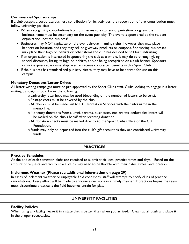#### **Commercial Sponsorships**

If a club accepts a corporate/business contribution for its activities, the recognition of that contribution must follow university policies:

- When recognizing contributions from businesses to a student organization program, the business name must be secondary on the event publicity. The event is sponsored by the student organization, not the business!
- Businesses may NOT capitalize on the event through naming rights; however they may place banners on location, and they may sell or giveaway products or coupons. Sponsoring businesses may place their logo on t-shirts or other items the club has decided to sell for fundraising.
- If an organization is interested in sponsoring the club as a whole, it may do so through giving special discounts, listing its logo on t-shirts, and/or being recognized on a club banner. Sponsors cannot express sole ownership over or receive contracted benefits with a Sport Club.
- If the business has standardized publicity pieces, they may have to be altered for use on this campus.

## **Monetary Donations/Letter Drives**

All letter writing campaigns must be pre-approved by the Sport Clubs staff. Clubs looking to engage in a letter writing campaign should know the following:

- o University letterhead may be used (depending on the number of letters to be sent).
- oPostage costs must be covered by the club.
- $\circ$  All checks must be made out to CU Recreation Services with the club's name in the memo line.
- $\circ$  Monetary donations from alumni, parents, businesses, etc. are tax-deductible; letters will be mailed on the club's behalf after receiving donation.
- oAll donation checks must be mailed directly to the Sport Clubs Office or the CU Foundation.
- oFunds may only be deposited into the club's gift account as they are considered University funds.

# **PRACTICES**

#### <span id="page-21-0"></span>**Practice Schedules**

At the end of each semester, clubs are required to submit their ideal practice times and days. Based on the amount of requests and facility space, clubs may need to be flexible with their dates, times, and location.

#### **Inclement Weather (Please see additional information on page 29)**

In cases of inclement weather or unplayable field conditions, staff will attempt to notify clubs of practice cancellations. Every effort will be made to announce decisions in a timely manner. If practices begins the team must discontinue practice is the field becomes unsafe for play.

# **UNIVERSITY FACILITIES**

#### <span id="page-21-1"></span>**Facility Policies**

When using any facility, leave it in a state that is better than when you arrived. Clean up all trash and place it in the proper receptacles.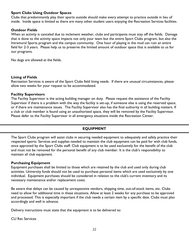#### **Sport Clubs Using Outdoor Spaces**

Clubs that predominantly play their sports outside should make every attempt to practice outside in lieu of inside. Inside space is limited as there are many other student users enjoying the Recreation Services facilities.

## **Outdoor Fields**

When an activity is canceled due to inclement weather, clubs and participants must stay off the fields. Damage that is done to the activity space impacts not only your team but the entire Sport Clubs program, but also the Intramural Sports program and the campus community. One hour of playing in the mud can ruin an entire field for 2-3 years. Please help us to preserve the limited amount of outdoor space that is available to us for our programs.

No dogs are allowed at the fields.

#### **Lining of Fields**

Recreation Services is aware of the Sport Clubs field lining needs. If there are unusual circumstances, please allow two weeks for your request to be accommodated.

#### **Facility Supervisors**

The Facility Supervisor is the acting building manager on duty. Please request the assistance of the Facility Supervisor if there is a problem with the way the facility is set-up, if someone else is using the reserved space, or if there are maintenance issues. The Facility Supervisor also has the final authority in all building matters. If a club or club member is found using an unauthorized space, they will be removed by the Facility Supervisor. Please defer to the Facility Supervisor in all emergency situations inside the Recreation Center.

# **EQUIPMENT**

<span id="page-22-0"></span>The Sport Clubs program will assist clubs in securing needed equipment to adequately and safely practice their respected sports. Services and supplies needed to maintain the club equipment can be paid for with club funds, once approved by the Sport Clubs staff. Club equipment is to be used exclusively for the benefit of the club and must not be removed for the personal benefit of any club member. It is the club's responsibility to maintain all club equipment.

#### **Purchasing Equipment**

Equipment purchases shall be limited to those which are retained by the club and used only during club activities. University funds should not be used to purchase personal items which are used exclusively by one individual. Equipment purchases should be considered in relation to the club's current inventory and its necessary maintenance and/or replacement costs.

Be aware that delays can be caused by unresponsive vendors, shipping time, out-of-stock items, etc. Clubs need to allow for additional time in these situations. Allow at least 2 weeks for any purchase to be approved and processed. This is especially important if the club needs a certain item by a specific date. Clubs must plan accordingly and well in advance.

Delivery instructions must state that the equipment is to be delivered to:

CU Rec Services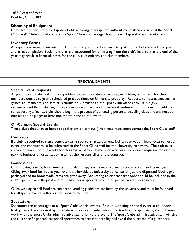1855 Pleasant Street Boulder, CO 80309

#### **Disposing of Equipment**

Clubs are not permitted to dispose of old or damaged equipment without the written consent of the Sport Clubs staff. Clubs should contact the Sport Clubs staff in regards to proper disposal of such equipment.

#### **Inventory Forms**

All equipment must be inventoried. Clubs are required to do an inventory at the start of the academic year and at its completion. Equipment that is unaccounted for or missing from the club's inventory at the end of the year may result in financial losses for the club, club officers, and club members.

# **SPECIAL EVENTS**

#### <span id="page-23-0"></span>**Special Event Requests**

A special event is defined as a competition, tournament, demonstration, exhibition, or seminar for club members outside regularly scheduled practice times on University property. Requests to host events such as games, tournaments, and seminars should be submitted to the Sport Club office early. It is highly recommended that clubs begin the process as soon as the club knows it wishes to host an event. In addition to requesting a facility, clubs should begin the process of contacting potential traveling clubs and any needed officials and/or judges at least one month prior to the event.

#### **On-Campus Special Events**

Those clubs that wish to host a special event on campus (like a road race) must contact the Sport Clubs staff.

#### **Contracts**

If a club is required to sign a contract (e.g. a sponsorship agreement, facility reservation, lease, etc.) to host an event, the contract must be submitted to the Sport Clubs staff for the University to review. The club must allow a minimum of four weeks for this review. Any club member who signs a contract requiring the club to pay the business or organization assumes the responsibility of the contract.

#### **Concessions**

Clubs hosting events, tournaments and philanthropy events may request to provide food and beverages. Giving away food for free at your event is allowable by university policy, so long as the dispensed food is prepackaged and no homemade items are given away. Requesting to dispense free food should be included in the club's Special Event Request and must have prior approval from the Special Events Coordinator.

Clubs wishing to sell food are subject to vending guidelines set forth by the university and must be followed for all special events in Recreation Services facilities.

#### **Spectators**

Spectators are encouraged at all Sport Clubs special events. If a club is hosting a special event at an indoor facility owned or operated by Recreation Services and anticipates the attendance of spectators, the club must work with the Sport Clubs administrative staff prior to the event. The Sport Clubs administrative staff will give the club specific procedures for all spectators to access the facility and avoid the purchase of a guest pass.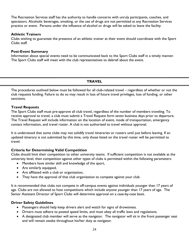The Recreation Services staff has the authority to handle concerns with unruly participants, coaches, and spectators. Alcoholic beverages, smoking, or the use of drugs are not permitted at any Recreation Services practice or event. Persons under the influence of alcohol or drugs will be asked to leave the facility.

#### **Athletic Trainers**

Clubs wishing to guarantee the presence of an athletic trainer at their event should coordinate with the Sport Clubs staff.

#### **Post-Event Summary**

Information about special events need to be communicated back to the Sport Clubs staff in a timely manner. The Sport Clubs staff will meet with the club representatives to debrief about the event.

#### **TRAVEL**

<span id="page-24-0"></span>The procedures outlined below must be followed for all club-related travel – regardless of whether or not the club requests funding. Failure to do so may result in loss of future travel privileges, loss of funding, or other sanctions.

#### **Travel Requests**

The Sport Clubs staff must pre-approve all club travel, regardless of the number of members traveling. To receive approval to travel, a club must submit a Travel Request form seven business days prior to departure. The Travel Request will include information on the location of event, mode of transportation, emergency contact information, and travel roster. A club is not authorized to travel without approval.

It is understood that some clubs may not solidify travel itineraries or rosters until just before leaving. If an updated itinerary is not submitted by this time, only those listed on the travel roster will be permitted to travel.

#### **Criteria for Determining Valid Competition**

Clubs should limit their competition to other university teams. If sufficient competition is not available at the university level, then competition against other types of clubs is permitted within the following parameters:

- Members have similar skill and knowledge of the sport,
- Are similarly equipped,
- Are affiliated with a club or organization,
- They have the approval of that club organization to compete against your club.

It is recommended that clubs not compete in off-campus events against individuals younger than 17 years of age. Clubs are not allowed to host competitions which include anyone younger than 17 years of age. The Senior Assistant Director of Sport Clubs will determine approval on a case-by-case basis.

#### **Driver Safety Guidelines**

- Passengers should help keep drivers alert and watch for signs of drowsiness.
- Drivers must adhere to posted speed limits, and must obey all traffic laws and regulations.
- A designated club member will serve as the navigator. The navigator will sit in the front passenger seat and will remain awake throughout his/her duty as navigator.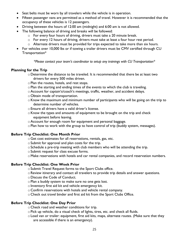- Seat belts must be worn by all travelers while the vehicle is in operation.
- Fifteen passenger vans are permitted as a method of travel. However it is recommended that the occupancy of these vehicles is 12 passengers.
- Driving between the hours of 12:00 am (midnight) and 6:00 am is not allowed.
- The following balance of driving and breaks will be followed:
	- o For every four hours of driving, drivers must take a 20 minute break.
	- $\circ$  For every 12 hours of driving, drivers must take at least a four hour rest period.
	- o Alternate drivers must be provided for trips expected to take more than six hours.
- For vehicles over 10,000 lbs or if towing a trailer drivers must be CMV certified through CU Transportation\*

*\*Please contact your team's coordinator to setup any trainings with CU Transportation\**

#### **Planning for the Trip**

- oDetermine the distance to be traveled. It is recommended that there be at least two drivers for every 500 miles driven.
- oPlan the routes, hotels, and rest stops.
- oPlan the starting and ending times of the events to which the club is traveling.
- oAccount for captain's/coach's meetings, traffic, weather, and accident delays.
- o Obtain mode of transportation.
- $\circ$  Know the maximum and minimum number of participants who will be going on the trip to determine number of vehicles.
- oEnsure all drivers have a valid driver's license.
- $\circ$  Know the types and amounts of equipment to be brought on the trip and check equipment before leaving.
- oAccount for enough room for equipment and personal baggage.
- oPlan how to work with the group to have control of trip (buddy system, messages).

#### **Before Trip Checklist: One Month Prior**

- o Get cost estimates for all reservations, rentals, gas, etc.
- $\circ$  Submit for approval and plan costs for the trip.
- $\circ$  Schedule a pre-trip meeting with club members who will be attending the trip.
- oSubmit request for class excuse forms.
- oMake reservations with hotels and car rental companies, and record reservation numbers.

#### **Before Trip Checklist: One Week Prior**

- o Submit Travel Request forms to the Sport Clubs office.
- oReview itinerary and contact all travelers to provide trip details and answer questions.
- oDiscuss the Code of Conduct.
- oPlan a buddy system to make sure no one gets lost.
- $\circ$  Inventory first aid kit and vehicle emergency kit.
- o Confirm reservations with hotels and vehicle rental company.
- o Check out travel binder and first aid kit from the Sport Clubs Office.

#### **Before Trip Checklist: One Day Prior**

- o Check road and weather conditions for trip.
- oPick up vehicle, do a visual check of lights, tires, etc. and check all fluids.
- oLoad van or trailer: equipment, first aid kits, maps, alternate routes. (Make sure that they are accessible if there is an emergency).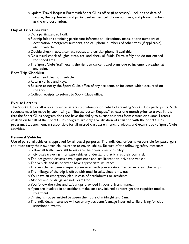o Update Travel Request Form with Sport Clubs office (if necessary). Include the date of return, the trip leaders and participant names, cell phone numbers, and phone numbers at the trip destination.

## **Day of Trip Checklist**

- oDo a participant roll call.
- $\circ$  Put trip folder containing participant information, directions, maps, phone numbers of destination, emergency numbers, and cell phone numbers of other vans (if applicable), etc. in vehicle.
- oDouble check maps, alternate routes and cellular phone, if available.
- oDo a visual check of lights, tires, etc. and check all fluids. Drive safely and do not exceed the speed limit.
- oThe Sport Clubs Staff retains the right to cancel travel plans due to inclement weather at any point.

# **Post Trip Checklist**

- o Unload and clean out vehicle.
- o Return vehicle and keys.
- o Be sure to notify the Sport Clubs office of any accidents or incidents which occurred on the trip.
- o Collect receipts to submit to Sport Clubs office.

# **Excuse Letters**

The Sport Clubs staff is able to write letters to professors on behalf of traveling Sport Clubs participants. Such requests must be made by submitting an "Excuse Letter Request" at least one month prior to travel. Know that the Sport Clubs program does not have the ability to excuse students from classes or exams. Letters written on behalf of the Sport Clubs program are only a verification of affiliation with the Sport Clubs program. Students remain responsible for all missed class assignments, projects, and exams due to Sport Clubs activities.

# **Personal Vehicles**

Use of personal vehicles is approved for all travel purposes. The individual driver is responsible for passengers and must carry their own vehicle insurance to cover liability. Be sure of the following safety measures:

- oFollow all traffic laws. All tickets are the driver's responsibility.
- $\circ$  Individuals traveling in private vehicles understand that it is at their own risk.
- oThe designated drivers have experience and are licensed to drive the vehicle.
- oThe vehicle and its operator have appropriate insurance.
- oThe vehicle has been adequately serviced with preventative maintenance and check-ups.
- oThe mileage of the trip is offset with meal breaks, sleep time, etc.
- o You have an emergency plan in case of breakdowns or accidents.
- oAlcohol and/or drugs are not permitted.
- $\circ$  You follow the rules and safety tips provided in your driver's manual.
- $\circ$  If you are involved in an accident, make sure any injured persons get the requisite medical treatment.
- oDriving is not permitted between the hours of midnight and 6am.
- oThe individuals insurance will cover any accidents/damage incurred while driving for club sanctioned events.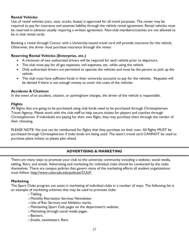#### **Rental Vehicles**

Use of rental vehicles (cars, vans, trucks, buses) is approved for all travel purposes. The renter may be required to pay for insurance and assumes liability through the vehicle rental agreement. Rental vehicles must be reserved in advance usually requiring a written agreement. Non-club members/coaches are not allowed to be in club rental cards.

Booking a rental through Concur with a University-issued travel card will provide insurance for the vehicle. Otherwise, the driver must purchase insurance through the renter.

## **Reserving Rental Vehicles (Enterprise, etc.)**

- A minimum of two authorized drivers will be required for each vehicle prior to departure.
- The club must pay for all gas expenses, toll expenses, etc. while using the vehicle.
- Only authorized drivers are permitted to operate the vehicles and must be the person to pick up the vehicle.
- The club must have sufficient funds in their university accounts to pay for the vehicles. Requests will be denied if there is not enough money to cover the costs of the vehicles.

#### **Accidents & Citations**

In the event of an accident, citation, or parking/tow charges, the driver of the vehicle is responsible.

#### **Flights**

All flights that are going to be purchased using club funds need to be purchased through Christopherson Travel Agency. Please work with the club staff to help secure tickets for players and coaches through Christopherson. If individuals are paying for their own flight, they may purchase them through the vendor of their choosing.

PLEASE NOTE: No one can be reimbursed for flights that they purchase on their own. All flights MUST be purchased through Christopherson if clubs funds are being used. The team's travel card CANNOT be used to purchase plane tickets so please plan ahead.

# <span id="page-27-0"></span>**ADVERTISING & MARKETING**

There are many ways to promote your club to the university community including a website, social media, tabling, fliers, and emails. Advertising and marketing for individual clubs should be conducted by the clubs themselves. There are campus policies that govern many of the marketing efforts all student organizations must follow: [http://www.colorado.edu/policies/CUUF.](http://www.colorado.edu/policies/CUUF)

#### **Marketing**

The Sport Clubs program can assist in marketing of individual clubs in a number of ways. The following list is an example of marketing schemes that may be used to promote clubs:

- $\circ$  Tabling.
- o Monthly Recreation Services Newsletter.
- o Use of Rec Services and Athletics marks.
- oMaintaining Sport Club pages on the department's website.
- oMarketing through social media pages.
- oBanners.
- oEmails, newsletters, fliers.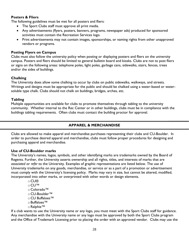#### **Posters & Fliers**

The following guidelines must be met for all posters and fliers:

- The Sport Clubs staff must approve all print media.
- Any advertisements (flyers, posters, banners, programs, newspaper ads) produced for sponsored activities must contain the Recreation Services logo.
- Print advertisements may not contain images, sponsorships, or naming rights from other unapproved vendors or programs.

#### **Posting Flyers on Campus**

Clubs must also follow the university policy when posting or displaying posters and fliers on the university campus. Posters and fliers should be limited to general bulletin board and kiosks. Clubs are not to post fliers or signs on the following areas: telephone poles, light poles, garbage cans, sidewalks, stairs, fences, trees and/or the sides of buildings.

#### **Chalking**

The University does allow some chalking to occur by clubs on public sidewalks, walkways, and streets. Writings and designs must be appropriate for the public and should be chalked using a water-based or watersoluble type chalk. Clubs should not chalk on buildings, bridges, arches, etc.

#### **Tabling**

Multiple opportunities are available for clubs to promote themselves through tabling to the university community. Whether internal to the Rec Center or in other buildings, clubs must be in compliance with the buildings tabling requirements. Often clubs must contact the building proctor for approval.

#### **APPAREL & MERCHANDISE**

<span id="page-28-0"></span>Clubs are allowed to make apparel and merchandise purchases representing their clubs and CU-Boulder. In order to purchase desired apparel and merchandise, clubs must follow proper procedures for designing and purchasing apparel and merchandise.

#### **Use of CU-Boulder marks**

The University's names, logos, symbols, and other identifying marks are trademarks owned by the Board of Regents. Further, the University asserts ownership and all rights, titles, and interests of marks that are *associated* or *refer* to the University. Examples of graphic representations are listed below. The use of University trademarks on any goods, merchandise, or service or as a part of a promotion or advertisement must comply with the University's licensing policy. Marks may vary in size, but cannot be altered, modified, incorporated into other marks, or overprinted with other words or design elements.

- o CU®
- o CU™
- o Colorado™
- o CU-Boulder™
- o CU Buffaloes™
- oBuffaloes™
- oRalphie™

If a club wants to use the University name or any logo, you must meet with the Sport Clubs staff for guidance. Any merchandise with the University name or any logo must be approved by both the Sport Clubs program and the Office of Trademark Licensing prior to placing the order with an approved vendor. Clubs may use the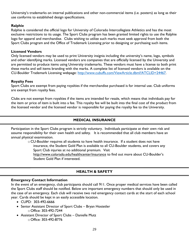University's trademarks on internal publications and other non-commercial items (i.e. posters) as long as their use conforms to established design specifications.

#### **Ralphie**

Ralphie is considered the official logo for University of Colorado Intercollegiate Athletics and has the most exclusive restrictions to its usage. The Sport Clubs program has been granted limited rights to use the Ralphie logo for apparel and merchandise. Clubs wishing to utilize such marks must seek approval from both the Sport Clubs program and the Office of Trademark Licensing prior to designing or purchasing such items.

#### **Licensed Vendors**

Only licensed vendors may be used to print University insignia including the university's name, logo, symbols and other identifying marks. Licensed vendors are companies that are officially licensed by the University and are permitted to produce items using University trademarks. These vendors must have a license to both print these marks and sell items branding with the marks. A complete list of licensed vendors is available on the CU-Boulder Trademark Licensing webpage: [http://www.cubuffs.com/ViewArticle.dbml?ATCLID=24467.](http://www.cubuffs.com/ViewArticle.dbml?ATCLID=24467)

## **Royalty Fees**

Sport Clubs are exempt from paying royalties if the merchandise purchased is for internal use. Club uniforms are exempt from royalty fees.

Clubs are not exempt from royalties if the items are intended for resale, which means that individuals pay for the item or price of item is built into a fee. This royalty fee will be built into the final cost of the product from the licensed vendor and the licensed vendor is responsible for paying the royalty fee to the University.

# **MEDICAL INSURANCE**

<span id="page-29-0"></span>Participation in the Sport Clubs program is strictly voluntary. Individuals participate at their own risk and assume responsibility for their own health and safety. It is recommended that all club members have an annual physical examination.

o CU-Boulder requires all students to have health insurance. If a student does not have insurance, the Student Gold Plan is available to all CU-Boulder students, and covers any Sport Club injuries at no additional premium. Visit

<http://www.colorado.edu/healthcenter/insurance> to find out more about CU-Boulder's Student Gold Plan if interested.

# **HEALTH & SAFETY**

#### <span id="page-29-1"></span>**Emergency Contact Information**

In the event of an emergency, club participants should call 911. Once proper medical services have been called the Sport Clubs staff should be notified. Below are important emergency numbers that should only be used in the case of an emergency. Each club will receive two red emergency contact cards at the start of each school year. Cards should be kept in an easily accessible location.

- CUPD: 303-492-6666
- Senior Assistant Director of Sport Clubs Bryan Hostetler o Office: 303-492-7244
- Assistant Director of Sport Clubs Danielle Mutz o Office: 303-492-8776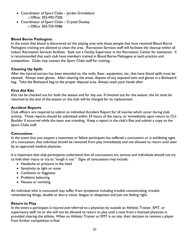- Coordinator of Sport Clubs Jordan Grindeland o Office: 303-492-7206
- Coordinator of Sport Clubs Crystal Dooley o Office: 303-735-9386

# **Blood Borne Pathogens**

In the event that blood is discovered on the playing area only those people that have received Blood Borne Pathogens training are allowed to clean the area. Recreation Services staff will facilitate the cleanup within all indoor Recreation Services facilities. Seek out a Facility Supervisor in the Recreation Center for assistance. It is recommended that each club have members trained in Blood Borne Pathogens at each practice and competition. Clubs may contact the Sport Clubs staff for training.

## **Cleaning Up Spills**

After the injured person has been attended to, the walls, floor, equipment, etc. that have blood spills must be cleaned. Always wear gloves. After cleaning the areas, dispose of any exposed item and gloves in a Biohazard bag. Take the Biohazard bag to the proper disposal area. Always wash your hands after.

#### **First Aid Kits**

Kits can be checked out for both the season and for day use. If checked out for the season, the kit must be returned at the end of the season or the club will be charged for its replacement.

#### **Accident Reports**

Club officers are required to submit an individual Accident Report for all injuries which occur during club activity. These reports should be submitted within 24 hours of the injury, or immediately upon return to CU-Boulder if occurred while the team was traveling. Keep a report in the club's files and submit a copy to the Sport Clubs staff.

#### **Concussions**

In the event that you suspect a teammate or fellow participant has suffered a concussion or is exhibiting signs of a concussion, that individual should be removed from play immediately and not allowed to return until seen by an approved medical physician.

It is important that club participants understand that all concussions are serious and individuals should not try to hide their injury or try to "tough it out." Signs of concussions may include:

- Headache or pressure in the head
- Sensitivity to light or noise
- Confusion or fogginess
- Problems balancing
- Nausea or vomiting

An individual who is concussed may suffer from symptoms including trouble concentrating, trouble remembering things, double or blurry vision, fatigue or sleepiness and just not feeling right.

#### **Return to Play**

In the event a participant is injured and referred to a physician by outside an Athletic Trainer, EMT, or supervisory staff, he or she will not be allowed to return to play until a note from a licensed physician is provided clearing the athlete. When an Athletic Trainer or EMT is on site, their decision to remove a player from further competition is final.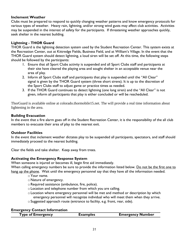#### **Inclement Weather**

Clubs must be prepared to respond to quickly changing weather patterns and know emergency protocols for various types of weather. Heavy rain, lightning, and/or strong wind gusts may affect club activities. Activities may be suspended in the interest of safety for the participants. If threatening weather approaches quickly, seek shelter in the nearest building.

#### **Lightning - THOR Guard**

THOR Guard is the lightning detection system used by the Student Recreation Center. This system exists at the Recreation Center, out at Kittredge Fields, Business Field, and at William's Village. In the event that the THOR Guard system should detect lightning, a loud siren will be set off. At this time, the following steps should be followed by the participants:

- 1. Ensure that all Sport Clubs activity is suspended and all Sport Clubs staff and participants at their site have cleared the playing area and sought shelter in an acceptable venue near the area of play.
- 2. Inform all Sport Clubs staff and participants that play is suspended until the "All Clear" signal is given by the THOR Guard system (three short sirens). It is up to the discretion of the Sport Clubs staff to adjust game or practice times as needed.
- 3. If the THOR Guard continues to detect lightning (one long siren) and the "All Clear" is not given, inform all participants that play is either concluded or will be rescheduled.

ThorGuard is available online at colorado.thormobile15.net. The will provide a real time information about lightening in the area.

#### **Building Evacuation**

In the event that a fire alarm goes off in the Student Recreation Center, it is the responsibility of the all club members to evacuate their area of play to the nearest exit.

#### **Outdoor Facilities**

In the event that inclement weather dictates play to be suspended all participants, spectators, and staff should immediately proceed to the nearest building.

Clear the fields and take shelter. Keep away from trees.

#### **Activating the Emergency Response System**

When someone is injured or becomes ill, begin first aid immediately.

When calling emergency numbers be sure to provide the information listed below. Do not be the first one to hang up the phone. Wait until the emergency personnel say that they have all the information needed.

- oYour name.
- o Nature of emergency.
- oRequired assistance (ambulance, fire, police).
- oLocation and telephone number from which you are calling.
- oLocation where emergency personnel will be met and method or description by which emergency personnel will recognize individual who will meet them when they arrive.
- oSuggested approach route (entrance to facility, e.g. front, rear, side).

#### **Emergency Contact Information**

|  | <b>Type of Emergency</b> | <b>Examples</b> | <b>Emergency Number</b> |
|--|--------------------------|-----------------|-------------------------|
|--|--------------------------|-----------------|-------------------------|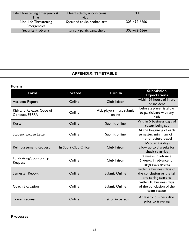| Life Threatening Emergency &<br>Fire       | Heart attack, unconscious<br>victim | 911          |
|--------------------------------------------|-------------------------------------|--------------|
| Non-Life Threatening<br><b>Emergencies</b> | Sprained ankle, broken arm          | 303-492-6666 |
| <b>Security Problems</b>                   | Unruly participant, theft           | 303-492-6666 |

# **APPENDIX: TIMETABLE**

<span id="page-32-0"></span>**Forms**

| Form                               | <b>Located</b>       | <b>Turn In</b>          | <b>Submission</b><br><b>Expectations</b>            |
|------------------------------------|----------------------|-------------------------|-----------------------------------------------------|
| <b>Accident Report</b>             | Online               | Club liaison            | within 24 hours of injury                           |
|                                    |                      |                         | or incident                                         |
| Risk and Release, Code of          | Online               | ALL players must submit | before a player is allow<br>to participate with any |
| Conduct, FERPA                     |                      | online                  | club                                                |
| Roster                             | Online               | Submit online           | Within 5 business days of                           |
|                                    |                      |                         | roster being set                                    |
|                                    |                      |                         | At the beginning of each                            |
| <b>Student Excuse Letter</b>       | Online               | Submit online           | semester, minimum of I                              |
|                                    |                      |                         | month before travel                                 |
|                                    |                      | Club liaison            | 3-5 business days                                   |
| <b>Reimbursement Request</b>       | In Sport Club Office |                         | allow up to 3 weeks for<br>check to arrive          |
|                                    |                      |                         | 2 weeks in advance                                  |
| Fundraising/Sponsorship<br>Request | Online               | Club liaison            | 6 weeks in advance for                              |
|                                    |                      |                         | large scale events                                  |
|                                    |                      |                         | within 7 business days of                           |
| Semester Report                    | Online               | <b>Submit Online</b>    | the conclusion or the fall                          |
|                                    |                      |                         | and spring seasons                                  |
|                                    |                      |                         | within 10 business days                             |
| Coach Evaluation                   | Online               | <b>Submit Online</b>    | of the conclusion of the                            |
|                                    |                      |                         | team season                                         |
| <b>Travel Request</b>              | Online               | Email or in person      | At least 7 business days<br>prior to traveling      |

**Processes**